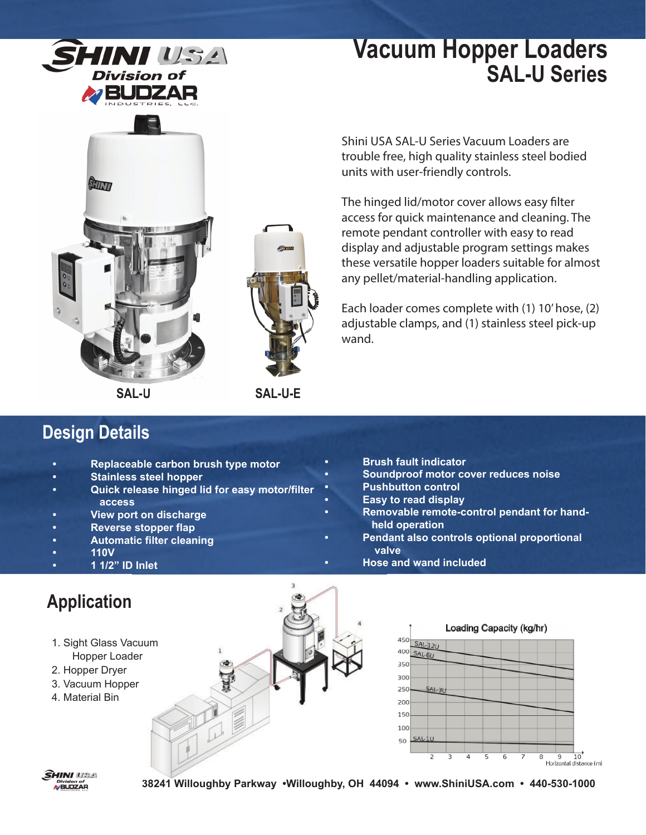

## **Vacuum Hopper Loaders SAL-U Series**





**SAL-U SAL-U-E**

### **Design Details**

- **Replaceable carbon brush type motor**
- **Stainless steel hopper**
- **Quick release hinged lid for easy motor/filter access**
- **View port on discharge**
- **Reverse stopper flap**
- **Automatic filter cleaning**
- **110V**

#### **• 1 1/2" ID Inlet**

## **Application**

- 1. Sight Glass Vacuum
- Hopper Loader
- 2. Hopper Dryer
- 3. Vacuum Hopper
- 4. Material Bin





**• Brush fault indicator**

- **Easy to read display**
- **Removable remote-control pendant for hand held operation**

**• Soundproof motor cover reduces noise**

- **Pendant also controls optional proportional valve**
	- **Hose and wand included**





**38241 Willoughby Parkway •Willoughby, OH 44094 • www.ShiniUSA.com • 440-530-1000 440**

Shini USA SAL-U Series Vacuum Loaders are trouble free, high quality stainless steel bodied units with user-friendly controls.

The hinged lid/motor cover allows easy filter access for quick maintenance and cleaning. The remote pendant controller with easy to read display and adjustable program settings makes these versatile hopper loaders suitable for almost any pellet/material-handling application.

Each loader comes complete with (1) 10' hose, (2) adjustable clamps, and (1) stainless steel pick-up wand.